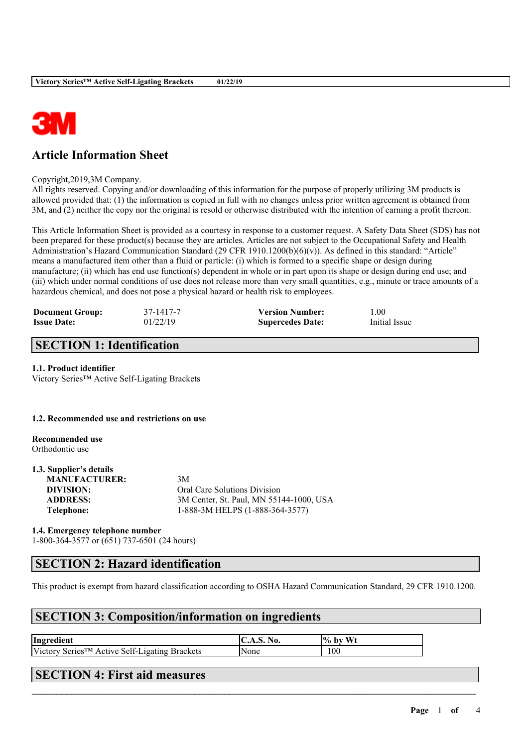

# **Article Information Sheet**

Copyright,2019,3M Company.

All rights reserved. Copying and/or downloading of this information for the purpose of properly utilizing 3M products is allowed provided that: (1) the information is copied in full with no changes unless prior written agreement is obtained from 3M, and (2) neither the copy nor the original is resold or otherwise distributed with the intention of earning a profit thereon.

This Article Information Sheet is provided as a courtesy in response to a customer request. A Safety Data Sheet (SDS) has not been prepared for these product(s) because they are articles. Articles are not subject to the Occupational Safety and Health Administration's Hazard Communication Standard (29 CFR 1910.1200(b)(6)(v)). As defined in this standard: "Article" means a manufactured item other than a fluid or particle: (i) which is formed to a specific shape or design during manufacture; (ii) which has end use function(s) dependent in whole or in part upon its shape or design during end use; and (iii) which under normal conditions of use does not release more than very small quantities, e.g., minute or trace amounts of a hazardous chemical, and does not pose a physical hazard or health risk to employees.

| <b>Document Group:</b> | 37-1417-7 | <b>Version Number:</b>  | 1.00          |
|------------------------|-----------|-------------------------|---------------|
| <b>Issue Date:</b>     | 01/22/19  | <b>Supercedes Date:</b> | Initial Issue |

## **SECTION 1: Identification**

#### **1.1. Product identifier**

Victory Series™ Active Self-Ligating Brackets

#### **1.2. Recommended use and restrictions on use**

**Recommended use** Orthodontic use

#### **1.3. Supplier's details MANUFACTURER:** 3M **DIVISION:** Oral Care Solutions Division **ADDRESS:** 3M Center, St. Paul, MN 55144-1000, USA **Telephone:** 1-888-3M HELPS (1-888-364-3577)

**1.4. Emergency telephone number** 1-800-364-3577 or (651) 737-6501 (24 hours)

### **SECTION 2: Hazard identification**

This product is exempt from hazard classification according to OSHA Hazard Communication Standard, 29 CFR 1910.1200.

 $\mathcal{L}_\mathcal{L} = \mathcal{L}_\mathcal{L} = \mathcal{L}_\mathcal{L} = \mathcal{L}_\mathcal{L} = \mathcal{L}_\mathcal{L} = \mathcal{L}_\mathcal{L} = \mathcal{L}_\mathcal{L} = \mathcal{L}_\mathcal{L} = \mathcal{L}_\mathcal{L} = \mathcal{L}_\mathcal{L} = \mathcal{L}_\mathcal{L} = \mathcal{L}_\mathcal{L} = \mathcal{L}_\mathcal{L} = \mathcal{L}_\mathcal{L} = \mathcal{L}_\mathcal{L} = \mathcal{L}_\mathcal{L} = \mathcal{L}_\mathcal{L}$ 

### **SECTION 3: Composition/information on ingredients**

| Ingredient                                                | $\mathsf{IC.A. S.}$<br>N0. | $\%$ by Wt |
|-----------------------------------------------------------|----------------------------|------------|
| Victory Series <sup>™</sup> Active Self-Ligating Brackets | <b>None</b>                | 100        |

### **SECTION 4: First aid measures**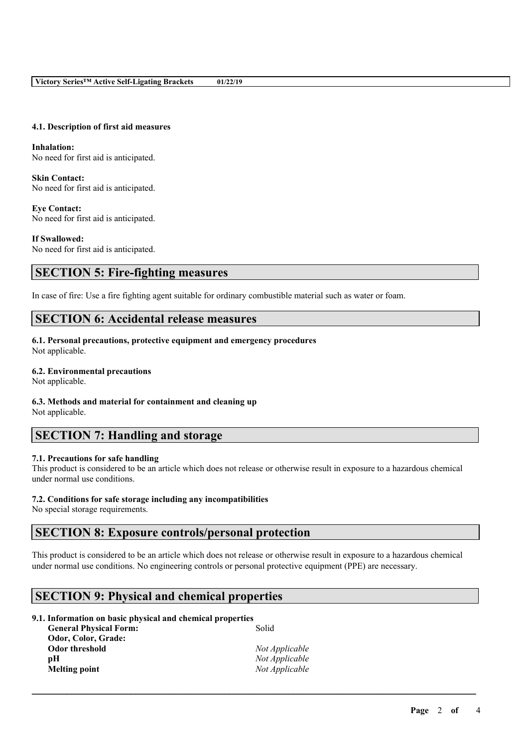#### **4.1. Description of first aid measures**

**Inhalation:** No need for first aid is anticipated.

**Skin Contact:** No need for first aid is anticipated.

**Eye Contact:** No need for first aid is anticipated.

**If Swallowed:** No need for first aid is anticipated.

### **SECTION 5: Fire-fighting measures**

In case of fire: Use a fire fighting agent suitable for ordinary combustible material such as water or foam.

### **SECTION 6: Accidental release measures**

**6.1. Personal precautions, protective equipment and emergency procedures** Not applicable.

#### **6.2. Environmental precautions**

Not applicable.

#### **6.3. Methods and material for containment and cleaning up**

Not applicable.

### **SECTION 7: Handling and storage**

#### **7.1. Precautions for safe handling**

This product is considered to be an article which does not release or otherwise result in exposure to a hazardous chemical under normal use conditions.

#### **7.2. Conditions for safe storage including any incompatibilities**

No special storage requirements.

### **SECTION 8: Exposure controls/personal protection**

This product is considered to be an article which does not release or otherwise result in exposure to a hazardous chemical under normal use conditions. No engineering controls or personal protective equipment (PPE) are necessary.

 $\mathcal{L}_\mathcal{L} = \mathcal{L}_\mathcal{L} = \mathcal{L}_\mathcal{L} = \mathcal{L}_\mathcal{L} = \mathcal{L}_\mathcal{L} = \mathcal{L}_\mathcal{L} = \mathcal{L}_\mathcal{L} = \mathcal{L}_\mathcal{L} = \mathcal{L}_\mathcal{L} = \mathcal{L}_\mathcal{L} = \mathcal{L}_\mathcal{L} = \mathcal{L}_\mathcal{L} = \mathcal{L}_\mathcal{L} = \mathcal{L}_\mathcal{L} = \mathcal{L}_\mathcal{L} = \mathcal{L}_\mathcal{L} = \mathcal{L}_\mathcal{L}$ 

### **SECTION 9: Physical and chemical properties**

### **9.1. Information on basic physical and chemical properties**

| Solid          |
|----------------|
|                |
| Not Applicable |
| Not Applicable |
| Not Applicable |
|                |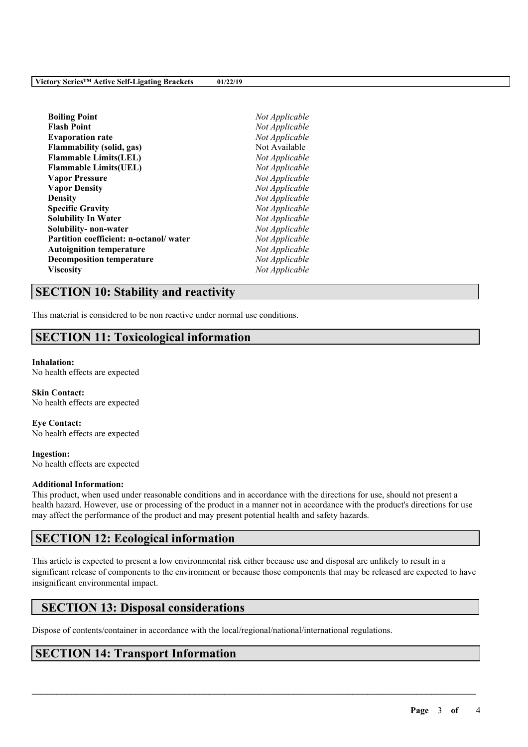| Not Applicable |
|----------------|
| Not Applicable |
| Not Applicable |
| Not Available  |
| Not Applicable |
| Not Applicable |
| Not Applicable |
| Not Applicable |
| Not Applicable |
| Not Applicable |
| Not Applicable |
| Not Applicable |
| Not Applicable |
| Not Applicable |
| Not Applicable |
| Not Applicable |
|                |

### **SECTION 10: Stability and reactivity**

This material is considered to be non reactive under normal use conditions.

## **SECTION 11: Toxicological information**

#### **Inhalation:**

No health effects are expected

**Skin Contact:** No health effects are expected

**Eye Contact:** No health effects are expected

**Ingestion:** No health effects are expected

#### **Additional Information:**

This product, when used under reasonable conditions and in accordance with the directions for use, should not present a health hazard. However, use or processing of the product in a manner not in accordance with the product's directions for use may affect the performance of the product and may present potential health and safety hazards.

## **SECTION 12: Ecological information**

This article is expected to present a low environmental risk either because use and disposal are unlikely to result in a significant release of components to the environment or because those components that may be released are expected to have insignificant environmental impact.

 $\mathcal{L}_\mathcal{L} = \mathcal{L}_\mathcal{L} = \mathcal{L}_\mathcal{L} = \mathcal{L}_\mathcal{L} = \mathcal{L}_\mathcal{L} = \mathcal{L}_\mathcal{L} = \mathcal{L}_\mathcal{L} = \mathcal{L}_\mathcal{L} = \mathcal{L}_\mathcal{L} = \mathcal{L}_\mathcal{L} = \mathcal{L}_\mathcal{L} = \mathcal{L}_\mathcal{L} = \mathcal{L}_\mathcal{L} = \mathcal{L}_\mathcal{L} = \mathcal{L}_\mathcal{L} = \mathcal{L}_\mathcal{L} = \mathcal{L}_\mathcal{L}$ 

### **SECTION 13: Disposal considerations**

Dispose of contents/container in accordance with the local/regional/national/international regulations.

### **SECTION 14: Transport Information**